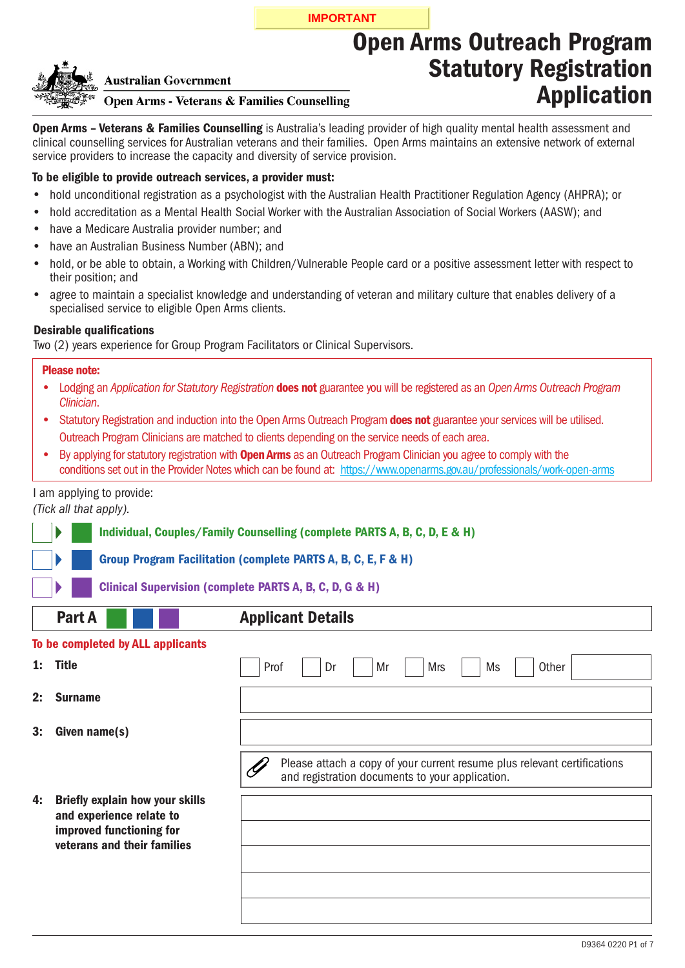**IMPORTANT**

# Open Arms Outreach Program Statutory Registration Application

Open Arms - Veterans & Families Counselling is Australia's leading provider of high quality mental health assessment and clinical counselling services for Australian veterans and their families. Open Arms maintains an extensive network of external service providers to increase the capacity and diversity of service provision.

## To be eligible to provide outreach services, a provider must:

**Australian Government** 

- hold unconditional registration as a psychologist with the Australian Health Practitioner Regulation Agency (AHPRA); or •
- hold accreditation as a Mental Health Social Worker with the Australian Association of Social Workers (AASW); and •
- have a Medicare Australia provider number; and •
- have an Australian Business Number (ABN); and •
- hold, or be able to obtain, a Working with Children/Vulnerable People card or a positive assessment letter with respect to their position; and •
- agree to maintain a specialist knowledge and understanding of veteran and military culture that enables delivery of a specialised service to eligible Open Arms clients. •

## **Desirable qualifications**

Two (2) years experience for Group Program Facilitators or Clinical Supervisors.

**Open Arms - Veterans & Families Counselling** 

#### Please note:

- Lodging an *Application for Statutory Registration* does not guarantee you will be registered as an *Open Arms Outreach Program Clinician*.
- Statutory Registration and induction into the Open Arms Outreach Program does not guarantee your services will be utilised. Outreach Program Clinicians are matched to clients depending on the service needs of each area.
- By applying for statutory registration with **Open Arms** as an Outreach Program Clinician you agree to comply with the conditions set out in the Provider Notes which can be found at: https://www.openarms.gov.au/professionals/work-open-arms •

## I am applying to provide:

*(Tick all that apply).*

Individual, Couples/Family Counselling (complete PARTS A, B, C, D, E & H)

Group Program Facilitation (complete PARTS A, B, C, E, F & H)

Clinical Supervision (complete PARTS A, B, C, D, G & H)

# Part A **Applicant Details**

## To be completed by ALL applicants

| 1: Title<br>$\overline{P}$ Dr $\overline{P}$<br>Prof | Mr Mrs |  | Ms | Other |
|------------------------------------------------------|--------|--|----|-------|
|------------------------------------------------------|--------|--|----|-------|

- 2: Surname
- 3: Given name(s)

Ý Please attach a copy of your current resume plus relevant certifications and registration documents to your application.

4: Briefly explain how your skills and experience relate to improved functioning for veterans and their families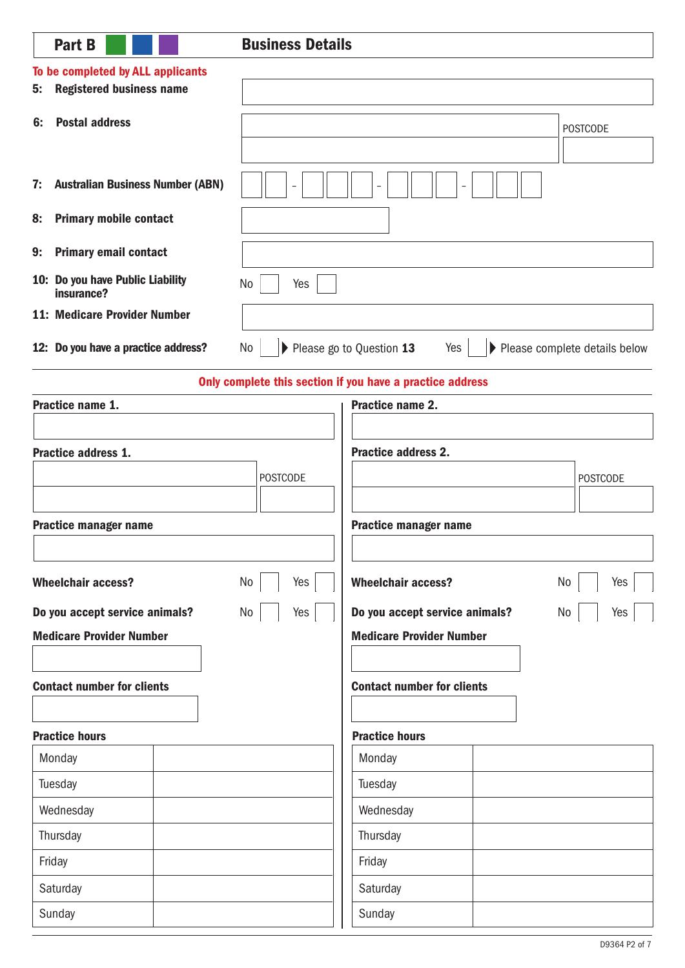| <b>Part B</b>                                                              | <b>Business Details</b> |                                                           |                                 |
|----------------------------------------------------------------------------|-------------------------|-----------------------------------------------------------|---------------------------------|
| To be completed by ALL applicants<br><b>Registered business name</b><br>5: |                         |                                                           |                                 |
|                                                                            |                         |                                                           |                                 |
| <b>Postal address</b><br>6:                                                |                         |                                                           | <b>POSTCODE</b>                 |
|                                                                            |                         |                                                           |                                 |
| <b>Australian Business Number (ABN)</b><br>7:                              |                         |                                                           |                                 |
| <b>Primary mobile contact</b><br>8:                                        |                         |                                                           |                                 |
| <b>Primary email contact</b><br>9:                                         |                         |                                                           |                                 |
| 10: Do you have Public Liability<br>insurance?                             | No<br>Yes               |                                                           |                                 |
| <b>11: Medicare Provider Number</b>                                        |                         |                                                           |                                 |
| 12: Do you have a practice address?                                        | No                      | Please go to Question 13<br>Yes                           | ▶ Please complete details below |
|                                                                            |                         | Only complete this section if you have a practice address |                                 |
| Practice name 1.                                                           |                         | Practice name 2.                                          |                                 |
|                                                                            |                         |                                                           |                                 |
| Practice address 1.                                                        |                         | <b>Practice address 2.</b>                                |                                 |
|                                                                            | <b>POSTCODE</b>         |                                                           | <b>POSTCODE</b>                 |
| <b>Practice manager name</b>                                               |                         | <b>Practice manager name</b>                              |                                 |
|                                                                            |                         |                                                           |                                 |
| <b>Wheelchair access?</b>                                                  | No<br>Yes               | <b>Wheelchair access?</b>                                 | No<br>Yes                       |
| Do you accept service animals?                                             | No<br>Yes               | Do you accept service animals?                            | No<br>Yes                       |
| <b>Medicare Provider Number</b>                                            |                         | <b>Medicare Provider Number</b>                           |                                 |
|                                                                            |                         |                                                           |                                 |
| <b>Contact number for clients</b>                                          |                         | <b>Contact number for clients</b>                         |                                 |
| <b>Practice hours</b>                                                      |                         | <b>Practice hours</b>                                     |                                 |
| Monday                                                                     |                         | Monday                                                    |                                 |
| Tuesday                                                                    |                         | Tuesday                                                   |                                 |
| Wednesday                                                                  |                         | Wednesday                                                 |                                 |
| Thursday                                                                   |                         | Thursday                                                  |                                 |
| Friday                                                                     |                         | Friday                                                    |                                 |
| Saturday                                                                   |                         | Saturday                                                  |                                 |
| Sunday                                                                     |                         | Sunday                                                    |                                 |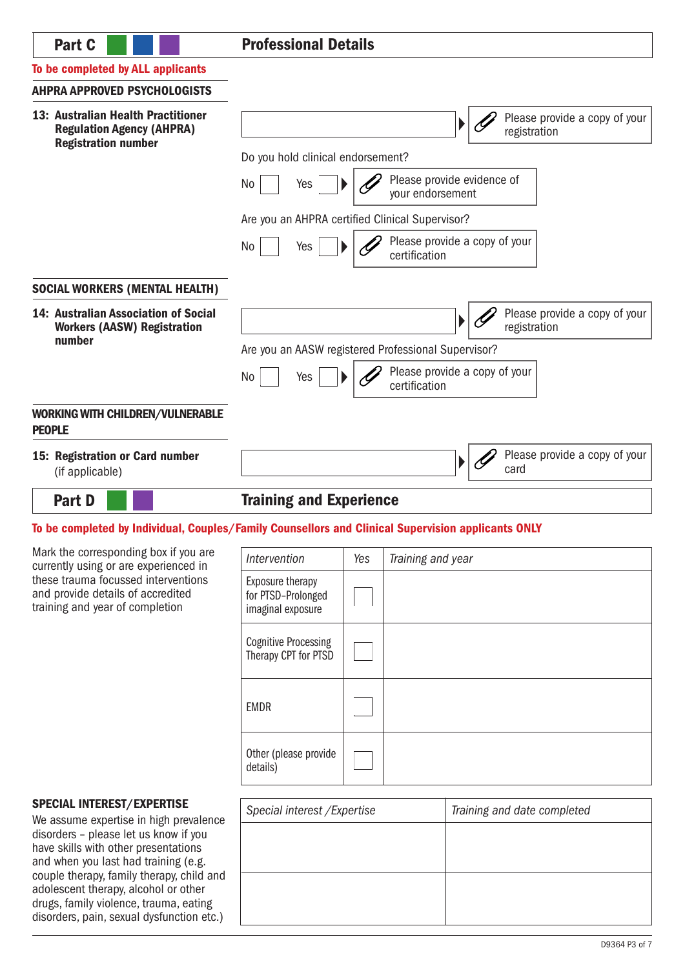# Part C **Professional Details**

## To be completed by ALL applicants

## AHPRA APPROVED PSYCHOLOGISTS

adolescent therapy, alcohol or other drugs, family violence, trauma, eating disorders, pain, sexual dysfunction etc.)

| 13: Australian Health Practitioner<br><b>Regulation Agency (AHPRA)</b><br><b>Registration number</b>                                                         |                                                             |  |                                                | ▶ | Please provide a copy of your<br>registration |
|--------------------------------------------------------------------------------------------------------------------------------------------------------------|-------------------------------------------------------------|--|------------------------------------------------|---|-----------------------------------------------|
|                                                                                                                                                              | Do you hold clinical endorsement?                           |  |                                                |   |                                               |
|                                                                                                                                                              | Please provide evidence of<br>No<br>Yes<br>your endorsement |  |                                                |   |                                               |
|                                                                                                                                                              | Are you an AHPRA certified Clinical Supervisor?             |  |                                                |   |                                               |
|                                                                                                                                                              | No<br>Yes                                                   |  | Please provide a copy of your<br>certification |   |                                               |
| <b>SOCIAL WORKERS (MENTAL HEALTH)</b>                                                                                                                        |                                                             |  |                                                |   |                                               |
| 14: Australian Association of Social<br><b>Workers (AASW) Registration</b>                                                                                   |                                                             |  |                                                |   | Please provide a copy of your<br>registration |
| number                                                                                                                                                       | Are you an AASW registered Professional Supervisor?         |  |                                                |   |                                               |
|                                                                                                                                                              | No<br>Yes                                                   |  | Please provide a copy of your<br>certification |   |                                               |
| <b>WORKING WITH CHILDREN/VULNERABLE</b><br><b>PEOPLE</b>                                                                                                     |                                                             |  |                                                |   |                                               |
| 15: Registration or Card number<br>(if applicable)                                                                                                           |                                                             |  |                                                | Þ | Please provide a copy of your<br>card         |
| <b>Part D</b>                                                                                                                                                | <b>Training and Experience</b>                              |  |                                                |   |                                               |
| To be completed by Individual, Couples/Family Counsellors and Clinical Supervision applicants ONLY                                                           |                                                             |  |                                                |   |                                               |
| Mark the corresponding box if you are                                                                                                                        | Intervention<br>Yes<br>Training and year                    |  |                                                |   |                                               |
| currently using or are experienced in<br>these trauma focussed interventions<br>and provide details of accredited<br>training and year of completion         | Exposure therapy<br>for PTSD-Prolonged<br>imaginal exposure |  |                                                |   |                                               |
|                                                                                                                                                              | <b>Cognitive Processing</b><br>Therapy CPT for PTSD         |  |                                                |   |                                               |
|                                                                                                                                                              | <b>EMDR</b>                                                 |  |                                                |   |                                               |
|                                                                                                                                                              | Other (please provide<br>details)                           |  |                                                |   |                                               |
| <b>SPECIAL INTEREST/EXPERTISE</b><br>We assume expertise in high prevalence<br>disorders - please let us know if you<br>have skills with other presentations | Special interest / Expertise                                |  |                                                |   | Training and date completed                   |
| and when you last had training (e.g.<br>couple therapy, family therapy, child and                                                                            |                                                             |  |                                                |   |                                               |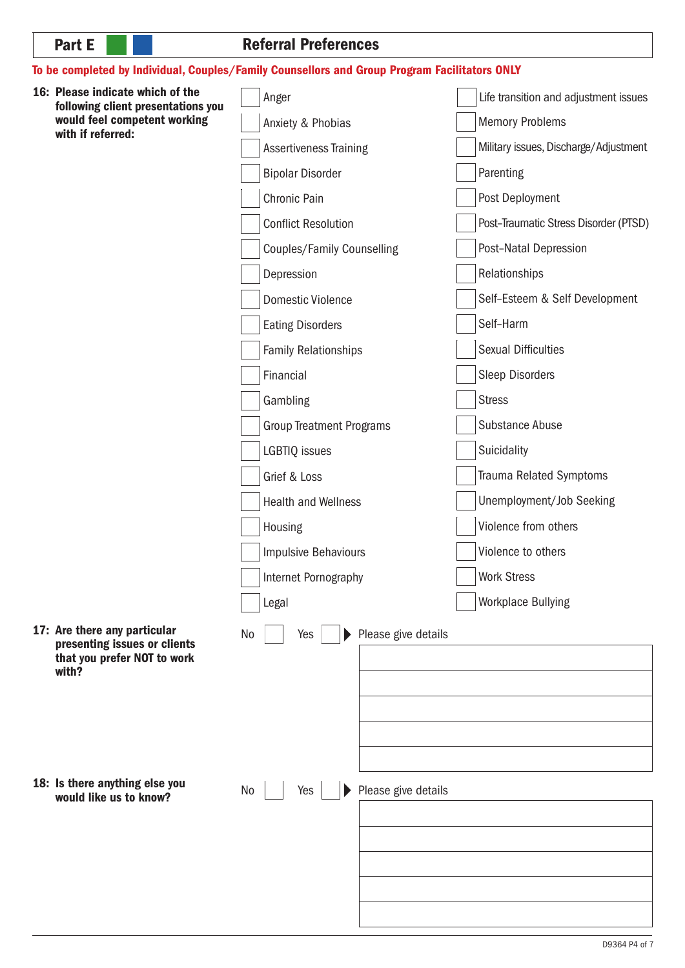## Referral Preferences

## To be completed by Individual, Couples/Family Counsellors and Group Program Facilitators ONLY

16: Please indicate which of the Anger Life transition and adjustment issues following client presentations you would feel competent working Anxiety & Phobias Memory Problems with if referred: Assertiveness Training Military issues, Discharge/Adjustment Bipolar Disorder Parenting Chronic Pain **Post Deployment** Conflict Resolution **Post–Traumatic Stress Disorder (PTSD)** Post–Natal Depression Couples/Family Counselling Relationships Depression Self–Esteem & Self Development Domestic Violence Self–Harm Eating Disorders Sexual Difficulties Family Relationships Sleep Disorders Financial Gambling **Stress** Substance Abuse Group Treatment Programs LGBTIQ issues Suicidality Grief & Loss Trauma Related Symptoms Health and Wellness Unemployment/Job Seeking Violence from others Housing Violence to others Impulsive Behaviours Work Stress Internet Pornography Legal Workplace Bullying 17: Are there any particular No Yes Please give details Þ presenting issues or clients that you prefer NOT to work with? 18: Is there anything else you Please give details No Yes  $\blacktriangleright$ would like us to know?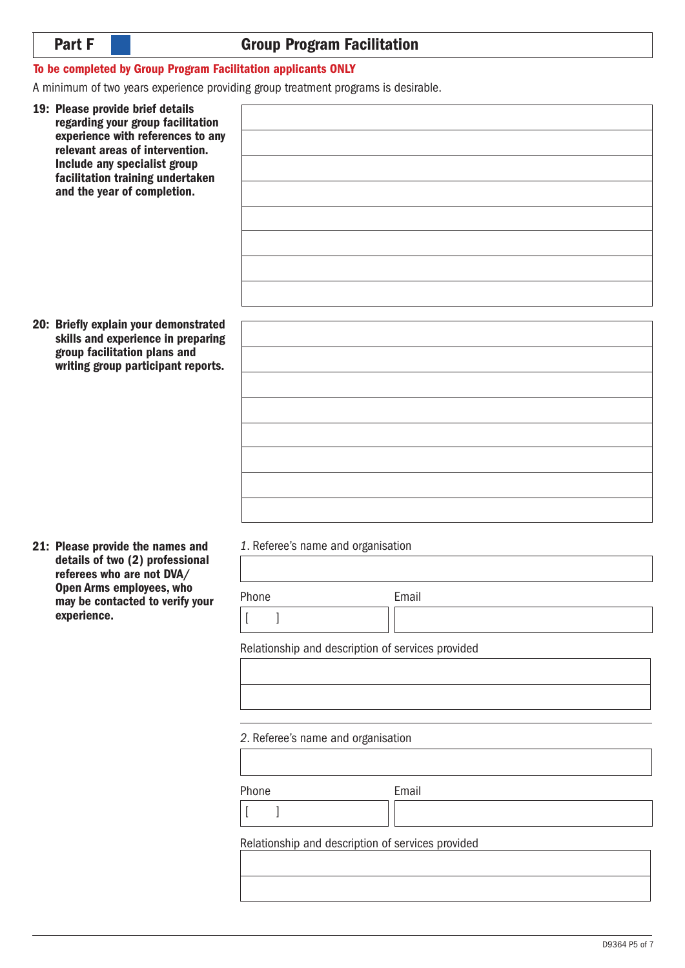# Group Program Facilitation

## To be completed by Group Program Facilitation applicants ONLY

A minimum of two years experience providing group treatment programs is desirable.

| 19: Please provide brief details<br>regarding your group facilitation<br>experience with references to any<br>relevant areas of intervention.<br>Include any specialist group<br>facilitation training undertaken<br>and the year of completion. |                                                   |       |
|--------------------------------------------------------------------------------------------------------------------------------------------------------------------------------------------------------------------------------------------------|---------------------------------------------------|-------|
|                                                                                                                                                                                                                                                  |                                                   |       |
|                                                                                                                                                                                                                                                  |                                                   |       |
|                                                                                                                                                                                                                                                  |                                                   |       |
|                                                                                                                                                                                                                                                  |                                                   |       |
|                                                                                                                                                                                                                                                  |                                                   |       |
| 20: Briefly explain your demonstrated<br>skills and experience in preparing                                                                                                                                                                      |                                                   |       |
| group facilitation plans and<br>writing group participant reports.                                                                                                                                                                               |                                                   |       |
|                                                                                                                                                                                                                                                  |                                                   |       |
|                                                                                                                                                                                                                                                  |                                                   |       |
|                                                                                                                                                                                                                                                  |                                                   |       |
|                                                                                                                                                                                                                                                  |                                                   |       |
|                                                                                                                                                                                                                                                  |                                                   |       |
|                                                                                                                                                                                                                                                  |                                                   |       |
|                                                                                                                                                                                                                                                  | 1. Referee's name and organisation                |       |
| 21: Please provide the names and<br>details of two (2) professional<br>referees who are not DVA/                                                                                                                                                 |                                                   |       |
| <b>Open Arms employees, who</b><br>may be contacted to verify your                                                                                                                                                                               | Phone                                             | Email |
| experience.                                                                                                                                                                                                                                      | $\overline{[}$<br>$\mathbf{I}$                    |       |
|                                                                                                                                                                                                                                                  | Relationship and description of services provided |       |
|                                                                                                                                                                                                                                                  |                                                   |       |
|                                                                                                                                                                                                                                                  |                                                   |       |

#### *2*. Referee's name and organisation

| Phone |  |
|-------|--|

Email

 $[$   $]$ 

Relationship and description of services provided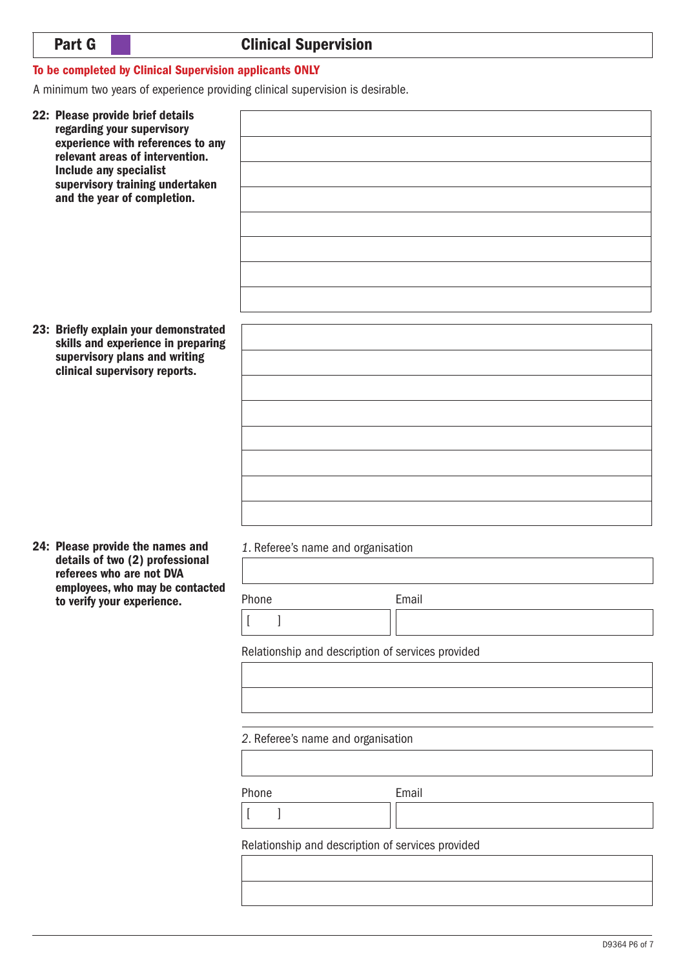## To be completed by Clinical Supervision applicants ONLY

A minimum two years of experience providing clinical supervision is desirable.

| 22: Please provide brief details<br>regarding your supervisory<br>experience with references to any<br>relevant areas of intervention.<br>Include any specialist<br>supervisory training undertaken<br>and the year of completion. |                                                                                                                                                                                                                                                 |                |
|------------------------------------------------------------------------------------------------------------------------------------------------------------------------------------------------------------------------------------|-------------------------------------------------------------------------------------------------------------------------------------------------------------------------------------------------------------------------------------------------|----------------|
| 23: Briefly explain your demonstrated<br>skills and experience in preparing<br>supervisory plans and writing<br>clinical supervisory reports.                                                                                      |                                                                                                                                                                                                                                                 |                |
| 24: Please provide the names and<br>details of two (2) professional<br>referees who are not DVA<br>employees, who may be contacted<br>to verify your experience.                                                                   | 1. Referee's name and organisation<br>Phone<br>$\lbrack$<br>$\Box$<br>Relationship and description of services provided<br>2. Referee's name and organisation<br>Phone<br>$\left[ \right]$<br>Relationship and description of services provided | Email<br>Email |